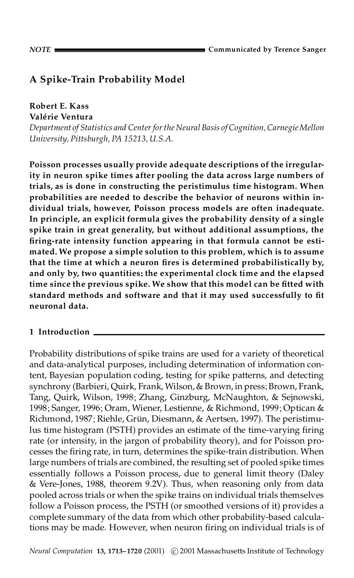# **A Spike-Train Probability Model**

**Robert E. Kass Valerie Â Ventura**

*Department of Statistics and Center forthe Neural Basis of Cognition,CarnegieMellon University, Pittsburgh, PA 15213, U.S.A.*

**Poisson processes usually provide adequate descriptions of the irregularity in neuron spike times after pooling the data across large numbers of trials, as is done in constructing the peristimulus time histogram. When probabilities are needed to describe the behavior of neurons within individual trials, however, Poisson process models are often inadequate. In principle, an explicit formula gives the probability density of a single spike train in great generality, but without additional assumptions, the ring-rate intensity function appearing in that formula cannot be estimated. We propose a simple solution to this problem, which is to assume that the time at which a neuron res is determined probabilistically by, and only by, two quantities: the experimental clock time and the elapsed time since the previous spike. We show that this model can be tted with standard methods and software and that it may used successfully to t neuronal data.**

## **1 Introduction**

Probability distributions of spike trains are used for a variety of theoretical and data-analytical purposes, including determination of information content, Bayesian population coding, testing for spike patterns, and detecting synchrony (Barbieri, Quirk, Frank, Wilson, & Brown, in press; Brown, Frank, Tang, Quirk, Wilson, 1998; Zhang, Ginzburg, McNaughton, & Sejnowski, 1998; Sanger, 1996; Oram, Wiener, Lestienne, & Richmond, 1999; Optican & Richmond, 1987; Riehle, Grün, Diesmann, & Aertsen, 1997). The peristimulus time histogram (PSTH) provides an estimate of the time-varying firing rate (or intensity, in the jargon of probability theory), and for Poisson processes the firing rate, in turn, determines the spike-train distribution. When large numbers of trials are combined, the resulting set of pooled spike times essentially follows a Poisson process, due to general limit theory (Daley & Vere-Jones, 1988, theorem 9.2V). Thus, when reasoning only from data pooled across trials or when the spike trains on individual trials themselves follow a Poisson process, the PSTH (or smoothed versions of it) provides a complete summary of the data from which other probability-based calculations may be made. However, when neuron firing on individual trials is of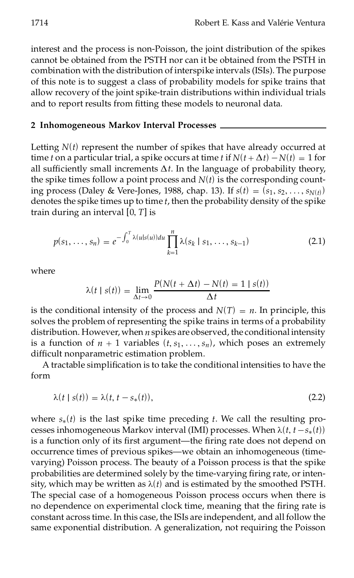interest and the process is non-Poisson, the joint distribution of the spikes cannot be obtained from the PSTH nor can itbe obtained from the PSTH in combination with the distribution of interspike intervals (ISIs). The purpose of this note is to suggest a class of probability models for spike trains that allow recovery of the joint spike-train distributions within individual trials and to report results from fitting these models to neuronal data.

#### **2 Inhomogeneous Markov Interval Processes**

Letting *N*(*t*) represent the number of spikes that have already occurred at time *t* on a particular trial, a spike occurs at time *t* if  $N(t + \Delta t) - N(t) = 1$  for all sufficiently small increments  $\Delta t$ . In the language of probability theory, the spike times follow a point process and  $N(t)$  is the corresponding counting process (Daley & Vere-Jones, 1988, chap. 13). If  $s(t) = (s_1, s_2, \ldots, s_{N(t)})$ denotes the spike times up to time  $t$ , then the probability density of the spike train during an interval [0, *T*] is

$$
p(s_1, \ldots, s_n) = e^{-\int_0^T \lambda(u|s(u))du} \prod_{k=1}^n \lambda(s_k \mid s_1, \ldots, s_{k-1})
$$
 (2.1)

where

$$
\lambda(t \mid s(t)) = \lim_{\Delta t \to 0} \frac{P(N(t + \Delta t) - N(t) = 1 \mid s(t))}{\Delta t}
$$

is the conditional intensity of the process and  $N(T) = n$ . In principle, this solves the problem of representing the spike trains in terms of a probability distribution. However, when *n* spikes are observed, the conditional intensity is a function of  $n + 1$  variables  $(t, s_1, \ldots, s_n)$ , which poses an extremely difficult nonparametric estimation problem.

A tractable simplication is to take the conditional intensities to have the form

$$
\lambda(t \mid s(t)) = \lambda(t, t - s_*(t)),\tag{2.2}
$$

where  $s_*(t)$  is the last spike time preceding  $t$ . We call the resulting processes inhomogeneous Markov interval (IMI) processes. When  $\lambda(t, t - s_*(t))$ is a function only of its first argument—the firing rate does not depend on occurrence times of previous spikes—we obtain an inhomogeneous (timevarying) Poisson process. The beauty of a Poisson process is that the spike probabilities are determined solely by the time-varying firing rate, or intensity, which may be written as  $\lambda(t)$  and is estimated by the smoothed PSTH. The special case of a homogeneous Poisson process occurs when there is no dependence on experimental clock time, meaning that the firing rate is constant across time. In this case, the ISIs are independent, and all follow the same exponential distribution. A generalization, not requiring the Poisson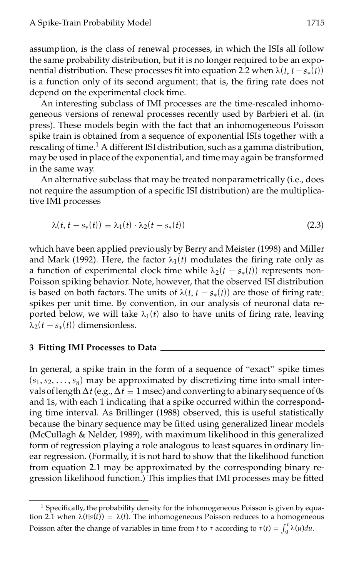assumption, is the class of renewal processes, in which the ISIs all follow the same probability distribution, but it is no longer required to be an exponential distribution. These processes fit into equation 2.2 when  $\lambda(t, t - s_*(t))$ is a function only of its second argument; that is, the firing rate does not depend on the experimental clock time.

An interesting subclass of IMI processes are the time-rescaled inhomogeneous versions of renewal processes recently used by Barbieri et al. (in press). These models begin with the fact that an inhomogeneous Poisson spike train is obtained from a sequence of exponential ISIs together with a rescaling of time.<sup>1</sup> A different ISI distribution, such as a gamma distribution, may be used in place of the exponential, and time may again be transformed in the same way.

An alternative subclass that may be treated nonparametrically (i.e., does not require the assumption of a specific ISI distribution) are the multiplicative IMI processes

$$
\lambda(t, t - s_*(t)) = \lambda_1(t) \cdot \lambda_2(t - s_*(t))
$$
\n(2.3)

which have been applied previously by Berry and Meister (1998) and Miller and Mark (1992). Here, the factor  $\lambda_1(t)$  modulates the firing rate only as a function of experimental clock time while  $\lambda_2(t - s_*(t))$  represents non-Poisson spiking behavior. Note, however, that the observed ISI distribution is based on both factors. The units of  $\lambda(t, t - s_*(t))$  are those of firing rate: spikes per unit time. By convention, in our analysis of neuronal data reported below, we will take  $\lambda_1(t)$  also to have units of firing rate, leaving  $\lambda_2(t - s_*(t))$  dimensionless.

## **3 Fitting IMI Processes to Data**

In general, a spike train in the form of a sequence of "exact" spike times  $(s_1, s_2, \ldots, s_n)$  may be approximated by discretizing time into small intervals of length  $\Delta t$  (e.g.,  $\Delta t = 1$  msec) and converting to a binary sequence of 0s and 1s, with each 1 indicating that a spike occurred within the corresponding time interval. As Brillinger (1988) observed, this is useful statistically because the binary sequence may be fitted using generalized linear models (McCullagh & Nelder, 1989), with maximum likelihood in this generalized form of regression playing a role analogous to least squares in ordinary linear regression. (Formally, it is not hard to show that the likelihood function from equation 2.1 may be approximated by the corresponding binary regression likelihood function.) This implies that IMI processes may be fitted

 $<sup>1</sup>$  Specifically, the probability density for the inhomogeneous Poisson is given by equa-</sup> tion 2.1 when  $\lambda(t|s(t)) = \lambda(t)$ . The inhomogeneous Poisson reduces to a homogeneous tion 2.1 when  $\lambda(t)$  is  $(t) = \lambda(t)$ . The inhomogeneous Poisson requires to a homogeneous  $Poisson$  after the change of variables in time from *t* to  $\tau$  according to  $\tau(t) = \int_0^t \lambda(u) du$ .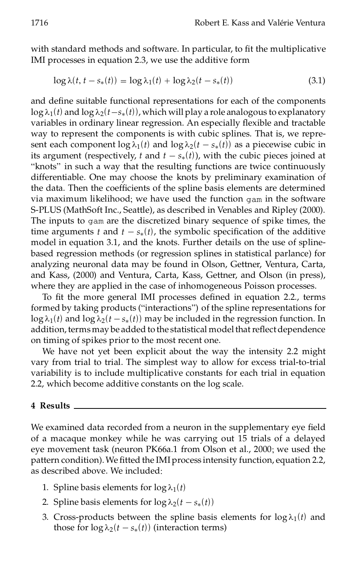with standard methods and software. In particular, to fit the multiplicative IMI processes in equation 2.3, we use the additive form

$$
\log \lambda(t, t - s_*(t)) = \log \lambda_1(t) + \log \lambda_2(t - s_*(t)) \tag{3.1}
$$

and define suitable functional representations for each of the components  $\log \lambda_1(t)$  and  $\log \lambda_2(t-s_*(t))$ , which will play a role analogous to explanatory variables in ordinary linear regression. An especially flexible and tractable way to represent the components is with cubic splines. That is, we represent each component  $\log \lambda_1(t)$  and  $\log \lambda_2(t - s_*(t))$  as a piecewise cubic in its argument (respectively, *t* and  $t - s_*(t)$ ), with the cubic pieces joined at "knots" in such a way that the resulting functions are twice continuously differentiable. One may choose the knots by preliminary examination of the data. Then the coefficients of the spline basis elements are determined via maximum likelihood; we have used the function gam in the software S-PLUS (MathSoft Inc., Seattle), as described in Venables and Ripley (2000). The inputs to gam are the discretized binary sequence of spike times, the time arguments *t* and  $t - s_*(t)$ , the symbolic specification of the additive model in equation 3.1, and the knots. Further details on the use of splinebased regression methods (or regression splines in statistical parlance) for analyzing neuronal data may be found in Olson, Gettner, Ventura, Carta, and Kass, (2000) and Ventura, Carta, Kass, Gettner, and Olson (in press), where they are applied in the case of inhomogeneous Poisson processes.

To fit the more general IMI processes defined in equation 2.2., terms formed by taking products ("interactions") of the spline representations for  $\log \lambda_1(t)$  and  $\log \lambda_2(t - s_*(t))$  may be included in the regression function. In addition, terms may be added to the statistical model that reflect dependence on timing of spikes prior to the most recent one.

We have not yet been explicit about the way the intensity 2.2 might vary from trial to trial. The simplest way to allow for excess trial-to-trial variability is to include multiplicative constants for each trial in equation 2.2, which become additive constants on the log scale.

#### **4 Results**

We examined data recorded from a neuron in the supplementary eye field of a macaque monkey while he was carrying out 15 trials of a delayed eye movement task (neuron PK66a.1 from Olson et al., 2000; we used the pattern condition). We fitted the IMI process intensity function, equation 2.2, as described above. We included:

- 1. Spline basis elements for  $log \lambda_1(t)$
- 2. Spline basis elements for  $\log \lambda_2(t s_*(t))$
- 3. Cross-products between the spline basis elements for  $log \lambda_1(t)$  and those for  $\log \lambda_2(t - s_*(t))$  (interaction terms)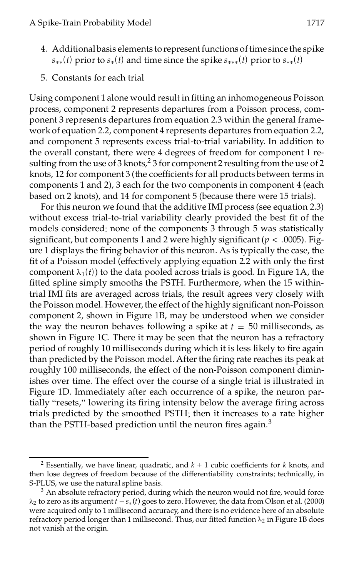- 4. Additional basis elements to represent functions of time since the spike  $s_{**}(t)$  prior to  $s_*(t)$  and time since the spike  $s_{***}(t)$  prior to  $s_{**}(t)$
- 5. Constants for each trial

Using component 1 alone would result in tting an inhomogeneous Poisson process, component 2 represents departures from a Poisson process, component 3 represents departures from equation 2.3 within the general framework of equation 2.2, component 4 represents departures from equation 2.2, and component 5 represents excess trial-to-trial variability. In addition to the overall constant, there were 4 degrees of freedom for component 1 resulting from the use of 3 knots,<sup>2</sup> 3 for component 2 resulting from the use of 2 knots, 12 for component 3 (the coefficients for all products between terms in components 1 and 2), 3 each for the two components in component 4 (each based on 2 knots), and 14 for component 5 (because there were 15 trials).

For this neuron we found that the additive IMI process (see equation 2.3) without excess trial-to-trial variability clearly provided the best fit of the models considered: none of the components 3 through 5 was statistically significant, but components 1 and 2 were highly significant ( $p < .0005$ ). Figure 1 displays the firing behavior of this neuron. As is typically the case, the fit of a Poisson model (effectively applying equation 2.2 with only the first component  $\lambda_1(t)$ ) to the data pooled across trials is good. In Figure 1A, the fitted spline simply smooths the PSTH. Furthermore, when the 15 withintrial IMI fits are averaged across trials, the result agrees very closely with the Poisson model. However, the effect of the highly significant non-Poisson component 2, shown in Figure 1B, may be understood when we consider the way the neuron behaves following a spike at  $t = 50$  milliseconds, as shown in Figure 1C. There it may be seen that the neuron has a refractory period of roughly 10 milliseconds during which it is less likely to fire again than predicted by the Poisson model. After the firing rate reaches its peak at roughly 100 milliseconds, the effect of the non-Poisson component diminishes over time. The effect over the course of a single trial is illustrated in Figure 1D. Immediately after each occurrence of a spike, the neuron partially "resets," lowering its firing intensity below the average firing across trials predicted by the smoothed PSTH; then it increases to a rate higher than the PSTH-based prediction until the neuron fires again. $3$ 

<sup>&</sup>lt;sup>2</sup> Essentially, we have linear, quadratic, and  $k + 1$  cubic coefficients for *k* knots, and then lose degrees of freedom because of the differentiability constraints; technically, in S-PLUS, we use the natural spline basis.

 $3$  An absolute refractory period, during which the neuron would not fire, would force  $\lambda_2$  to zero as its argument  $t - s_*(t)$  goes to zero. However, the data from Olson et al. (2000) were acquired only to 1 millisecond accuracy, and there is no evidence here of an absolute refractory period longer than 1 millisecond. Thus, our fitted function  $\lambda_2$  in Figure 1B does not vanish at the origin.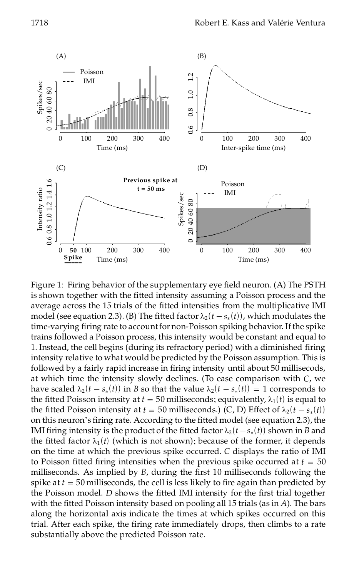

Figure 1: Firing behavior of the supplementary eye field neuron. (A) The PSTH is shown together with the fitted intensity assuming a Poisson process and the average across the 15 trials of the fitted intensities from the multiplicative IMI model (see equation 2.3). (B) The fitted factor  $\lambda_2 (t - s_*(t))$ , which modulates the time-varying firing rate to account for non-Poisson spiking behavior. If the spike trains followed a Poisson process, this intensity would be constant and equal to 1. Instead, the cell begins (during its refractory period) with a diminished firing intensity relative to what would be predicted by the Poisson assumption. This is followed by a fairly rapid increase in firing intensity until about 50 millisecods, at which time the intensity slowly declines. (To ease comparison with *C*, we have scaled  $\lambda_2 (t - s_*(t))$  in *B* so that the value  $\lambda_2 (t - s_*(t)) = 1$  corresponds to the fitted Poisson intensity at  $t = 50$  milliseconds; equivalently,  $\lambda_1(t)$  is equal to the fitted Poisson intensity at  $t = 50$  milliseconds.) (C, D) Effect of  $\lambda_2 (t - s_*(t))$ on this neuron's firing rate. According to the fitted model (see equation 2.3), the IMI firing intensity is the product of the fitted factor  $\lambda_2 (t - s_*(t))$  shown in *B* and the fitted factor  $\lambda_1(t)$  (which is not shown); because of the former, it depends on the time at which the previous spike occurred. *C* displays the ratio of IMI to Poisson fitted firing intensities when the previous spike occurred at  $t = 50$ milliseconds. As implied by *B*, during the first 10 milliseconds following the spike at  $t = 50$  milliseconds, the cell is less likely to fire again than predicted by the Poisson model. *D* shows the fitted IMI intensity for the first trial together with the fitted Poisson intensity based on pooling all 15 trials (as in *A*). The bars along the horizontal axis indicate the times at which spikes occurred on this trial. After each spike, the firing rate immediately drops, then climbs to a rate substantially above the predicted Poisson rate.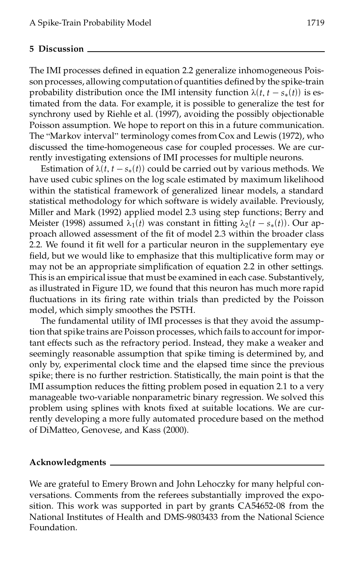#### **5 Discussion**

The IMI processes defined in equation 2.2 generalize inhomogeneous Poisson processes, allowing computation of quantities defined by the spike-train probability distribution once the IMI intensity function  $\lambda(t, t - s_*(t))$  is estimated from the data. For example, it is possible to generalize the test for synchrony used by Riehle et al. (1997), avoiding the possibly objectionable Poisson assumption. We hope to report on this in a future communication. The "Markov interval" terminology comes from Cox and Lewis (1972), who discussed the time-homogeneous case for coupled processes. We are currently investigating extensions of IMI processes for multiple neurons.

Estimation of  $\lambda(t, t - s_*(t))$  could be carried out by various methods. We have used cubic splines on the log scale estimated by maximum likelihood within the statistical framework of generalized linear models, a standard statistical methodology for which software is widely available. Previously, Miller and Mark (1992) applied model 2.3 using step functions; Berry and Meister (1998) assumed  $\lambda_1(t)$  was constant in fitting  $\lambda_2(t - s_*(t))$ . Our approach allowed assessment of the fit of model 2.3 within the broader class 2.2. We found it fit well for a particular neuron in the supplementary eye field, but we would like to emphasize that this multiplicative form may or may not be an appropriate simplification of equation 2.2 in other settings. This is an empirical issue that must be examined in each case. Substantively, as illustrated in Figure 1D, we found that this neuron has much more rapid fluctuations in its firing rate within trials than predicted by the Poisson model, which simply smoothes the PSTH.

The fundamental utility of IMI processes is that they avoid the assumption that spike trains are Poisson processes, which fails to account forimportant effects such as the refractory period. Instead, they make a weaker and seemingly reasonable assumption that spike timing is determined by, and only by, experimental clock time and the elapsed time since the previous spike; there is no further restriction. Statistically, the main point is that the IMI assumption reduces the fitting problem posed in equation 2.1 to a very manageable two-variable nonparametric binary regression. We solved this problem using splines with knots fixed at suitable locations. We are currently developing a more fully automated procedure based on the method of DiMatteo, Genovese, and Kass (2000).

## **Acknowledgments**

We are grateful to Emery Brown and John Lehoczky for many helpful conversations. Comments from the referees substantially improved the exposition. This work was supported in part by grants CA54652-08 from the National Institutes of Health and DMS-9803433 from the National Science Foundation.